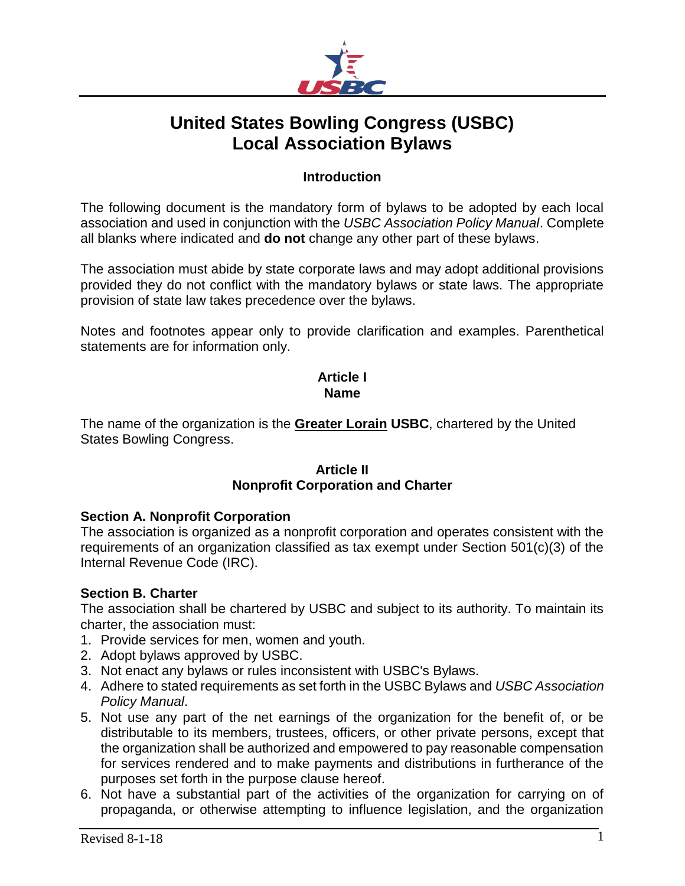

# **United States Bowling Congress (USBC) Local Association Bylaws**

### **Introduction**

The following document is the mandatory form of bylaws to be adopted by each local association and used in conjunction with the *USBC Association Policy Manual*. Complete all blanks where indicated and **do not** change any other part of these bylaws.

The association must abide by state corporate laws and may adopt additional provisions provided they do not conflict with the mandatory bylaws or state laws. The appropriate provision of state law takes precedence over the bylaws.

Notes and footnotes appear only to provide clarification and examples. Parenthetical statements are for information only.

# **Article I Name**

The name of the organization is the **Greater Lorain USBC**, chartered by the United States Bowling Congress.

#### **Article II Nonprofit Corporation and Charter**

#### **Section A. Nonprofit Corporation**

The association is organized as a nonprofit corporation and operates consistent with the requirements of an organization classified as tax exempt under Section 501(c)(3) of the Internal Revenue Code (IRC).

#### **Section B. Charter**

The association shall be chartered by USBC and subject to its authority. To maintain its charter, the association must:

- 1. Provide services for men, women and youth.
- 2. Adopt bylaws approved by USBC.
- 3. Not enact any bylaws or rules inconsistent with USBC's Bylaws.
- 4. Adhere to stated requirements as set forth in the USBC Bylaws and *USBC Association Policy Manual*.
- 5. Not use any part of the net earnings of the organization for the benefit of, or be distributable to its members, trustees, officers, or other private persons, except that the organization shall be authorized and empowered to pay reasonable compensation for services rendered and to make payments and distributions in furtherance of the purposes set forth in the purpose clause hereof.
- 6. Not have a substantial part of the activities of the organization for carrying on of propaganda, or otherwise attempting to influence legislation, and the organization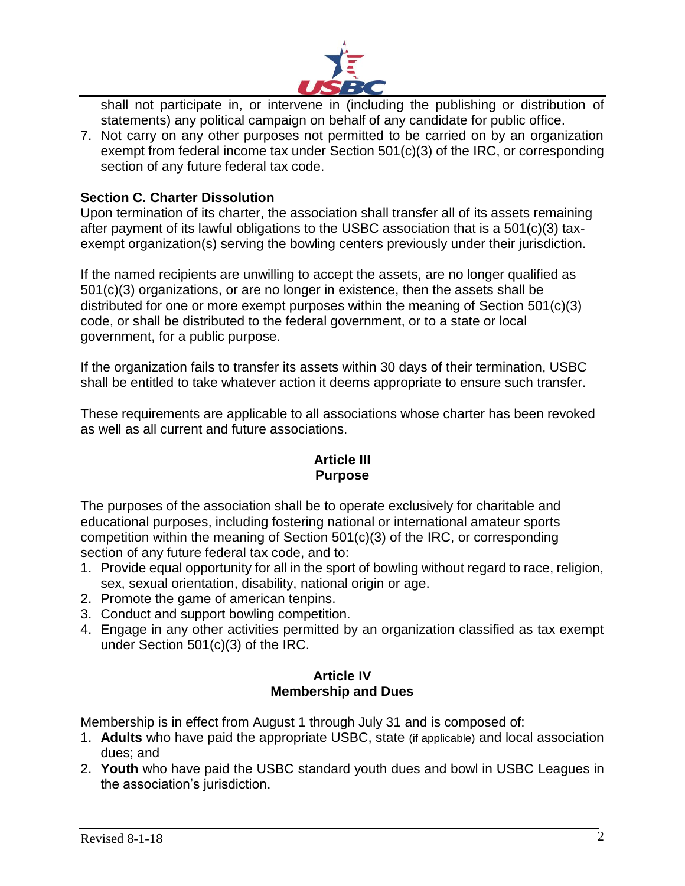

shall not participate in, or intervene in (including the publishing or distribution of statements) any political campaign on behalf of any candidate for public office.

7. Not carry on any other purposes not permitted to be carried on by an organization exempt from federal income tax under Section 501(c)(3) of the IRC, or corresponding section of any future federal tax code.

# **Section C. Charter Dissolution**

Upon termination of its charter, the association shall transfer all of its assets remaining after payment of its lawful obligations to the USBC association that is a 501(c)(3) taxexempt organization(s) serving the bowling centers previously under their jurisdiction.

If the named recipients are unwilling to accept the assets, are no longer qualified as 501(c)(3) organizations, or are no longer in existence, then the assets shall be distributed for one or more exempt purposes within the meaning of Section 501(c)(3) code, or shall be distributed to the federal government, or to a state or local government, for a public purpose.

If the organization fails to transfer its assets within 30 days of their termination, USBC shall be entitled to take whatever action it deems appropriate to ensure such transfer.

These requirements are applicable to all associations whose charter has been revoked as well as all current and future associations.

# **Article III Purpose**

The purposes of the association shall be to operate exclusively for charitable and educational purposes, including fostering national or international amateur sports competition within the meaning of Section 501(c)(3) of the IRC, or corresponding section of any future federal tax code, and to:

- 1. Provide equal opportunity for all in the sport of bowling without regard to race, religion, sex, sexual orientation, disability, national origin or age.
- 2. Promote the game of american tenpins.
- 3. Conduct and support bowling competition.
- 4. Engage in any other activities permitted by an organization classified as tax exempt under Section 501(c)(3) of the IRC.

# **Article IV Membership and Dues**

Membership is in effect from August 1 through July 31 and is composed of:

- 1. **Adults** who have paid the appropriate USBC, state (if applicable) and local association dues; and
- 2. **Youth** who have paid the USBC standard youth dues and bowl in USBC Leagues in the association's jurisdiction.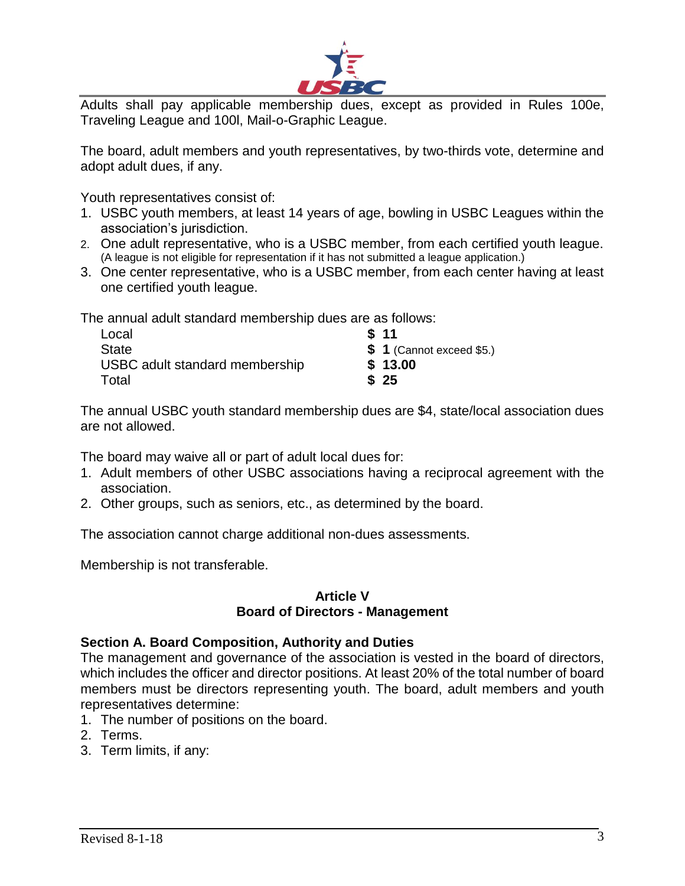

Adults shall pay applicable membership dues, except as provided in Rules 100e, Traveling League and 100l, Mail-o-Graphic League.

The board, adult members and youth representatives, by two-thirds vote, determine and adopt adult dues, if any.

Youth representatives consist of:

- 1. USBC youth members, at least 14 years of age, bowling in USBC Leagues within the association's jurisdiction.
- 2. One adult representative, who is a USBC member, from each certified youth league. (A league is not eligible for representation if it has not submitted a league application.)
- 3. One center representative, who is a USBC member, from each center having at least one certified youth league.

The annual adult standard membership dues are as follows:

| Local                          | \$11                      |
|--------------------------------|---------------------------|
| <b>State</b>                   | $$1$ (Cannot exceed \$5.) |
| USBC adult standard membership | \$13.00                   |
| Total                          | \$25                      |

The annual USBC youth standard membership dues are \$4, state/local association dues are not allowed.

The board may waive all or part of adult local dues for:

- 1. Adult members of other USBC associations having a reciprocal agreement with the association.
- 2. Other groups, such as seniors, etc., as determined by the board.

The association cannot charge additional non-dues assessments.

Membership is not transferable.

### **Article V Board of Directors - Management**

#### **Section A. Board Composition, Authority and Duties**

The management and governance of the association is vested in the board of directors, which includes the officer and director positions. At least 20% of the total number of board members must be directors representing youth. The board, adult members and youth representatives determine:

- 1. The number of positions on the board.
- 2. Terms.
- 3. Term limits, if any: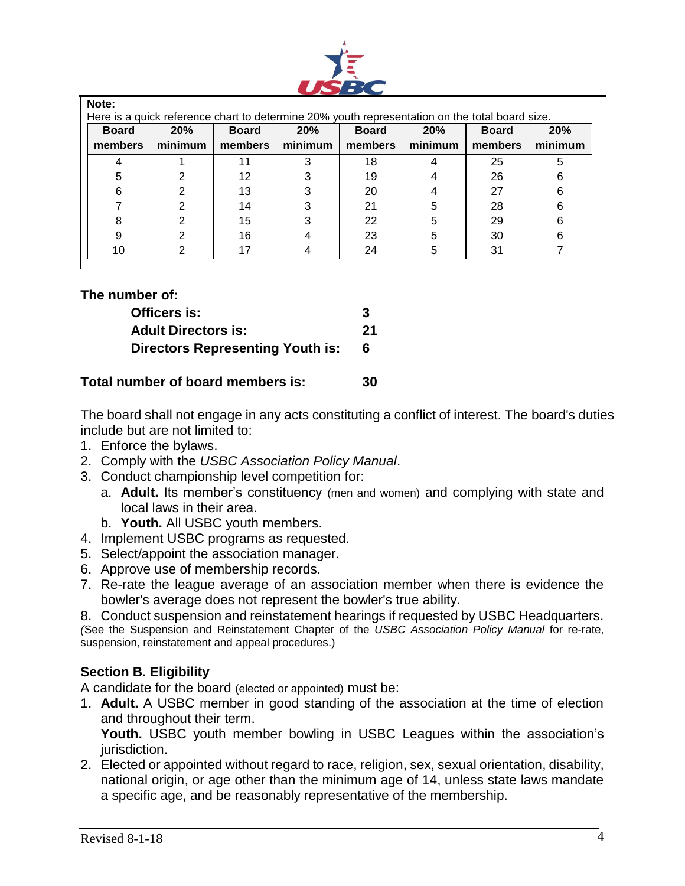

| Note:<br>Here is a quick reference chart to determine 20% youth representation on the total board size. |                |                         |                |                         |                |                         |                |
|---------------------------------------------------------------------------------------------------------|----------------|-------------------------|----------------|-------------------------|----------------|-------------------------|----------------|
| <b>Board</b><br>members                                                                                 | 20%<br>minimum | <b>Board</b><br>members | 20%<br>minimum | <b>Board</b><br>members | 20%<br>minimum | <b>Board</b><br>members | 20%<br>minimum |
|                                                                                                         |                |                         | 3              | 18                      |                | 25                      | 5              |
|                                                                                                         | 2              | 12                      | 3              | 19                      |                | 26                      | 6              |
| 6                                                                                                       | 2              | 13                      | 3              | 20                      |                | 27                      | 6              |
|                                                                                                         | 2              | 14                      | 3              | 21                      | 5              | 28                      | 6              |
|                                                                                                         | 2              | 15                      | 3              | 22                      | 5              | 29                      | 6              |
|                                                                                                         | 2              | 16                      |                | 23                      | 5              | 30                      | 6              |
|                                                                                                         | 2              |                         |                | 24                      | 5              | 31                      |                |

|  | The number of: |  |
|--|----------------|--|
|--|----------------|--|

| Officers is:                            | 3   |
|-----------------------------------------|-----|
| <b>Adult Directors is:</b>              | 21  |
| <b>Directors Representing Youth is:</b> | - 6 |

# **Total number of board members is: 30**

The board shall not engage in any acts constituting a conflict of interest. The board's duties include but are not limited to:

- 1. Enforce the bylaws.
- 2. Comply with the *USBC Association Policy Manual*.
- 3. Conduct championship level competition for:
	- a. **Adult.** Its member's constituency (men and women) and complying with state and local laws in their area.
	- b. **Youth.** All USBC youth members.
- 4. Implement USBC programs as requested.
- 5. Select/appoint the association manager.
- 6. Approve use of membership records.
- 7. Re-rate the league average of an association member when there is evidence the bowler's average does not represent the bowler's true ability.
- 8. Conduct suspension and reinstatement hearings if requested by USBC Headquarters.

*(*See the Suspension and Reinstatement Chapter of the *USBC Association Policy Manual* for re-rate, suspension, reinstatement and appeal procedures.)

# **Section B. Eligibility**

A candidate for the board (elected or appointed) must be:

1. **Adult.** A USBC member in good standing of the association at the time of election and throughout their term.

**Youth.** USBC youth member bowling in USBC Leagues within the association's jurisdiction.

2. Elected or appointed without regard to race, religion, sex, sexual orientation, disability, national origin, or age other than the minimum age of 14, unless state laws mandate a specific age, and be reasonably representative of the membership.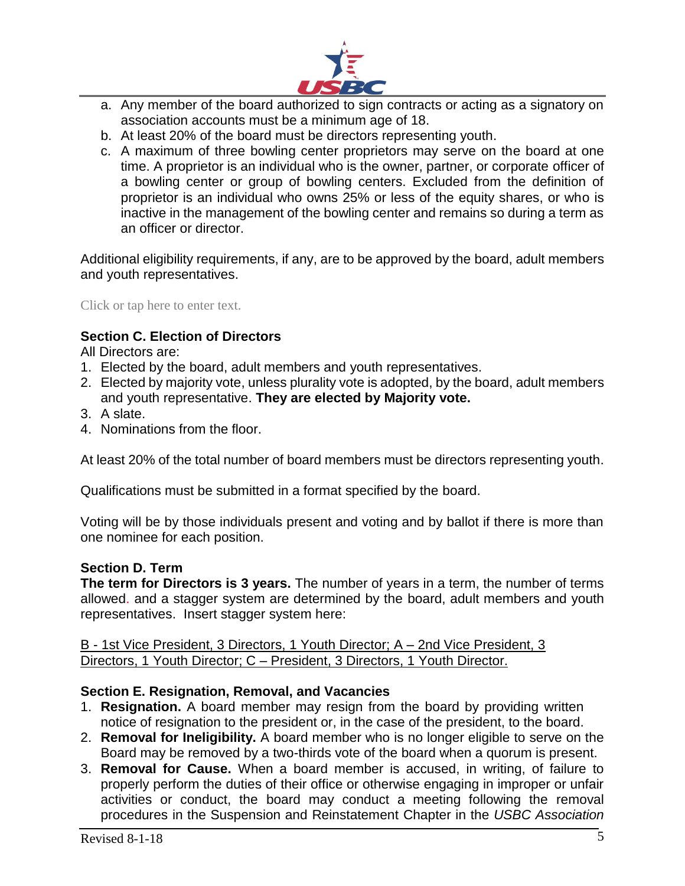

- a. Any member of the board authorized to sign contracts or acting as a signatory on association accounts must be a minimum age of 18.
- b. At least 20% of the board must be directors representing youth.
- c. A maximum of three bowling center proprietors may serve on the board at one time. A proprietor is an individual who is the owner, partner, or corporate officer of a bowling center or group of bowling centers. Excluded from the definition of proprietor is an individual who owns 25% or less of the equity shares, or who is inactive in the management of the bowling center and remains so during a term as an officer or director.

Additional eligibility requirements, if any, are to be approved by the board, adult members and youth representatives.

Click or tap here to enter text.

# **Section C. Election of Directors**

All Directors are:

- 1. Elected by the board, adult members and youth representatives.
- 2. Elected by majority vote, unless plurality vote is adopted, by the board, adult members and youth representative. **They are elected by Majority vote.**
- 3. A slate.
- 4. Nominations from the floor.

At least 20% of the total number of board members must be directors representing youth.

Qualifications must be submitted in a format specified by the board.

Voting will be by those individuals present and voting and by ballot if there is more than one nominee for each position.

# **Section D. Term**

**The term for Directors is 3 years.** The number of years in a term, the number of terms allowed. and a stagger system are determined by the board, adult members and youth representatives. Insert stagger system here:

B - 1st Vice President, 3 Directors, 1 Youth Director; A – 2nd Vice President, 3 Directors, 1 Youth Director; C – President, 3 Directors, 1 Youth Director.

# **Section E. Resignation, Removal, and Vacancies**

- 1. **Resignation.** A board member may resign from the board by providing written notice of resignation to the president or, in the case of the president, to the board.
- 2. **Removal for Ineligibility.** A board member who is no longer eligible to serve on the Board may be removed by a two-thirds vote of the board when a quorum is present.
- 3. **Removal for Cause.** When a board member is accused, in writing, of failure to properly perform the duties of their office or otherwise engaging in improper or unfair activities or conduct, the board may conduct a meeting following the removal procedures in the Suspension and Reinstatement Chapter in the *USBC Association*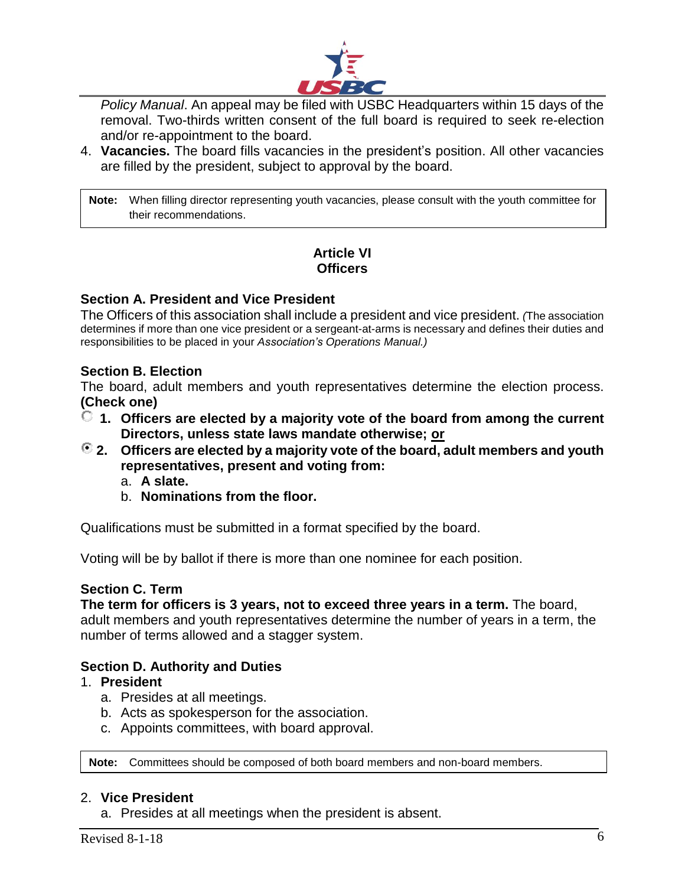

*Policy Manual*. An appeal may be filed with USBC Headquarters within 15 days of the removal. Two-thirds written consent of the full board is required to seek re-election and/or re-appointment to the board.

4. **Vacancies.** The board fills vacancies in the president's position. All other vacancies are filled by the president, subject to approval by the board.

**Note:** When filling director representing youth vacancies, please consult with the youth committee for their recommendations.

# **Article VI Officers**

### **Section A. President and Vice President**

The Officers of this association shall include a president and vice president. *(*The association determines if more than one vice president or a sergeant-at-arms is necessary and defines their duties and responsibilities to be placed in your *Association's Operations Manual.)*

#### **Section B. Election**

The board, adult members and youth representatives determine the election process. **(Check one)**

- **1. Officers are elected by a majority vote of the board from among the current Directors, unless state laws mandate otherwise; or**
- **2. Officers are elected by a majority vote of the board, adult members and youth representatives, present and voting from:**
	- a. **A slate.**
	- b. **Nominations from the floor.**

Qualifications must be submitted in a format specified by the board.

Voting will be by ballot if there is more than one nominee for each position.

#### **Section C. Term**

#### **The term for officers is 3 years, not to exceed three years in a term.** The board,

adult members and youth representatives determine the number of years in a term, the number of terms allowed and a stagger system.

#### **Section D. Authority and Duties**

- 1. **President**
	- a. Presides at all meetings.
	- b. Acts as spokesperson for the association.
	- c. Appoints committees, with board approval.

**Note:** Committees should be composed of both board members and non-board members.

#### 2. **Vice President**

a. Presides at all meetings when the president is absent.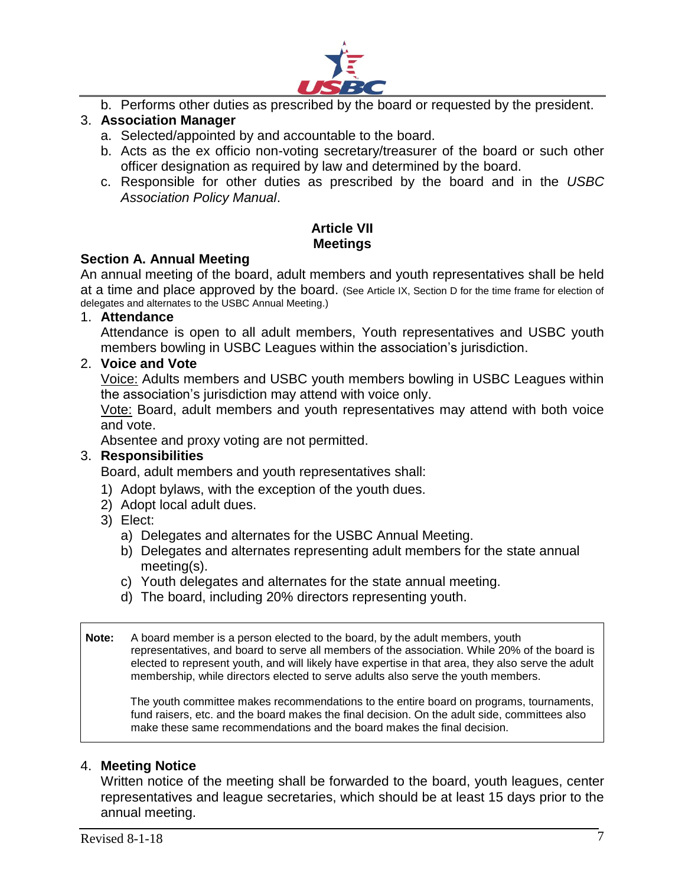

b. Performs other duties as prescribed by the board or requested by the president.

# 3. **Association Manager**

- a. Selected/appointed by and accountable to the board.
- b. Acts as the ex officio non-voting secretary/treasurer of the board or such other officer designation as required by law and determined by the board.
- c. Responsible for other duties as prescribed by the board and in the *USBC Association Policy Manual*.

### **Article VII Meetings**

#### **Section A. Annual Meeting**

An annual meeting of the board, adult members and youth representatives shall be held at a time and place approved by the board. (See Article IX, Section D for the time frame for election of delegates and alternates to the USBC Annual Meeting.)

#### 1. **Attendance**

Attendance is open to all adult members, Youth representatives and USBC youth members bowling in USBC Leagues within the association's jurisdiction.

#### 2. **Voice and Vote**

Voice: Adults members and USBC youth members bowling in USBC Leagues within the association's jurisdiction may attend with voice only.

Vote: Board, adult members and youth representatives may attend with both voice and vote.

Absentee and proxy voting are not permitted.

#### 3. **Responsibilities**

Board, adult members and youth representatives shall:

- 1) Adopt bylaws, with the exception of the youth dues.
- 2) Adopt local adult dues.
- 3) Elect:
	- a) Delegates and alternates for the USBC Annual Meeting.
	- b) Delegates and alternates representing adult members for the state annual meeting(s).
	- c) Youth delegates and alternates for the state annual meeting.
	- d) The board, including 20% directors representing youth.

**Note:** A board member is a person elected to the board, by the adult members, youth representatives, and board to serve all members of the association. While 20% of the board is elected to represent youth, and will likely have expertise in that area, they also serve the adult membership, while directors elected to serve adults also serve the youth members.

The youth committee makes recommendations to the entire board on programs, tournaments, fund raisers, etc. and the board makes the final decision. On the adult side, committees also make these same recommendations and the board makes the final decision.

#### 4. **Meeting Notice**

Written notice of the meeting shall be forwarded to the board, youth leagues, center representatives and league secretaries, which should be at least 15 days prior to the annual meeting.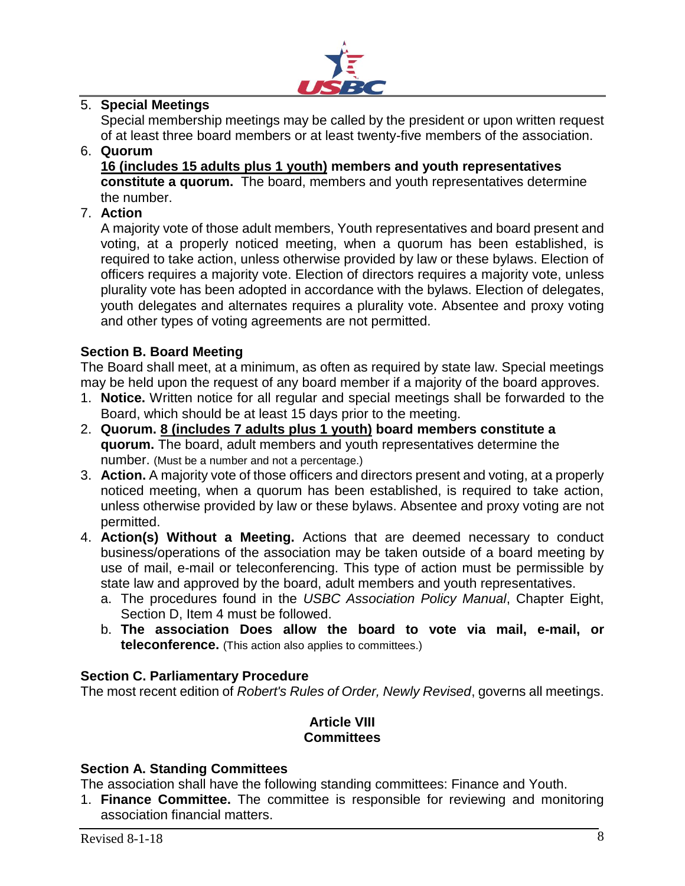

### 5. **Special Meetings**

Special membership meetings may be called by the president or upon written request of at least three board members or at least twenty-five members of the association.

#### 6. **Quorum**

**16 (includes 15 adults plus 1 youth) members and youth representatives constitute a quorum.** The board, members and youth representatives determine the number.

### 7. **Action**

A majority vote of those adult members, Youth representatives and board present and voting, at a properly noticed meeting, when a quorum has been established, is required to take action, unless otherwise provided by law or these bylaws. Election of officers requires a majority vote. Election of directors requires a majority vote, unless plurality vote has been adopted in accordance with the bylaws. Election of delegates, youth delegates and alternates requires a plurality vote. Absentee and proxy voting and other types of voting agreements are not permitted.

### **Section B. Board Meeting**

The Board shall meet, at a minimum, as often as required by state law. Special meetings may be held upon the request of any board member if a majority of the board approves.

- 1. **Notice.** Written notice for all regular and special meetings shall be forwarded to the Board, which should be at least 15 days prior to the meeting.
- 2. **Quorum. 8 (includes 7 adults plus 1 youth) board members constitute a quorum.** The board, adult members and youth representatives determine the number. (Must be a number and not a percentage.)
- 3. **Action.** A majority vote of those officers and directors present and voting, at a properly noticed meeting, when a quorum has been established, is required to take action, unless otherwise provided by law or these bylaws. Absentee and proxy voting are not permitted.
- 4. **Action(s) Without a Meeting.** Actions that are deemed necessary to conduct business/operations of the association may be taken outside of a board meeting by use of mail, e-mail or teleconferencing. This type of action must be permissible by state law and approved by the board, adult members and youth representatives.
	- a. The procedures found in the *USBC Association Policy Manual*, Chapter Eight, Section D, Item 4 must be followed.
	- b. **The association Does allow the board to vote via mail, e-mail, or teleconference.** (This action also applies to committees.)

#### **Section C. Parliamentary Procedure**

The most recent edition of *Robert's Rules of Order, Newly Revised*, governs all meetings.

# **Article VIII Committees**

#### **Section A. Standing Committees**

The association shall have the following standing committees: Finance and Youth.

1. **Finance Committee.** The committee is responsible for reviewing and monitoring association financial matters.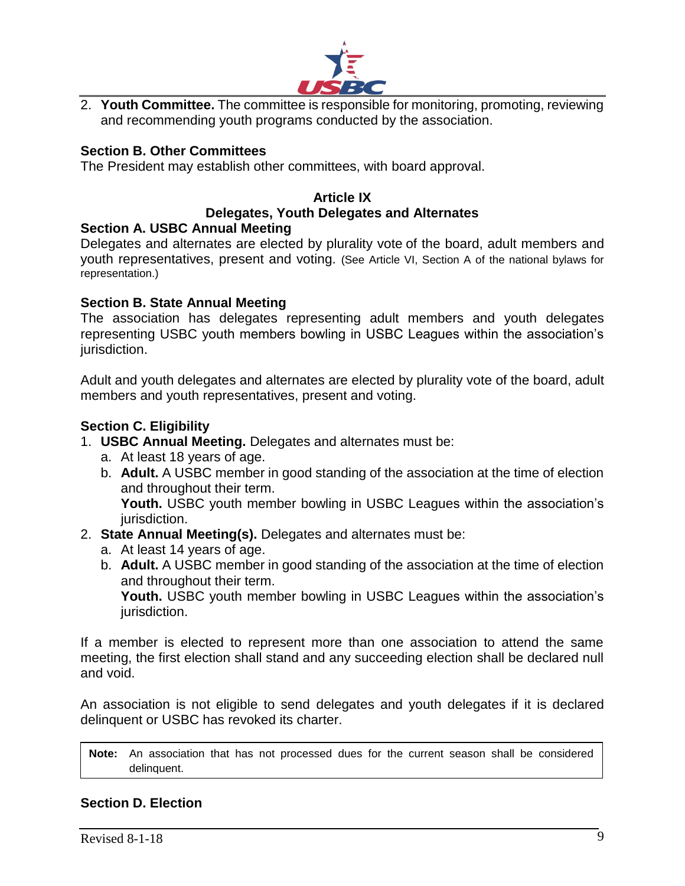

2. **Youth Committee.** The committee is responsible for monitoring, promoting, reviewing and recommending youth programs conducted by the association.

### **Section B. Other Committees**

The President may establish other committees, with board approval.

# **Article IX Delegates, Youth Delegates and Alternates**

#### **Section A. USBC Annual Meeting**

Delegates and alternates are elected by plurality vote of the board, adult members and youth representatives, present and voting. (See Article VI, Section A of the national bylaws for representation.)

#### **Section B. State Annual Meeting**

The association has delegates representing adult members and youth delegates representing USBC youth members bowling in USBC Leagues within the association's jurisdiction.

Adult and youth delegates and alternates are elected by plurality vote of the board, adult members and youth representatives, present and voting.

#### **Section C. Eligibility**

- 1. **USBC Annual Meeting.** Delegates and alternates must be:
	- a. At least 18 years of age.
	- b. **Adult.** A USBC member in good standing of the association at the time of election and throughout their term.

**Youth.** USBC youth member bowling in USBC Leagues within the association's jurisdiction.

- 2. **State Annual Meeting(s).** Delegates and alternates must be:
	- a. At least 14 years of age.
	- b. **Adult.** A USBC member in good standing of the association at the time of election and throughout their term.

**Youth.** USBC youth member bowling in USBC Leagues within the association's jurisdiction.

If a member is elected to represent more than one association to attend the same meeting, the first election shall stand and any succeeding election shall be declared null and void.

An association is not eligible to send delegates and youth delegates if it is declared delinquent or USBC has revoked its charter.

**Note:** An association that has not processed dues for the current season shall be considered delinquent.

#### **Section D. Election**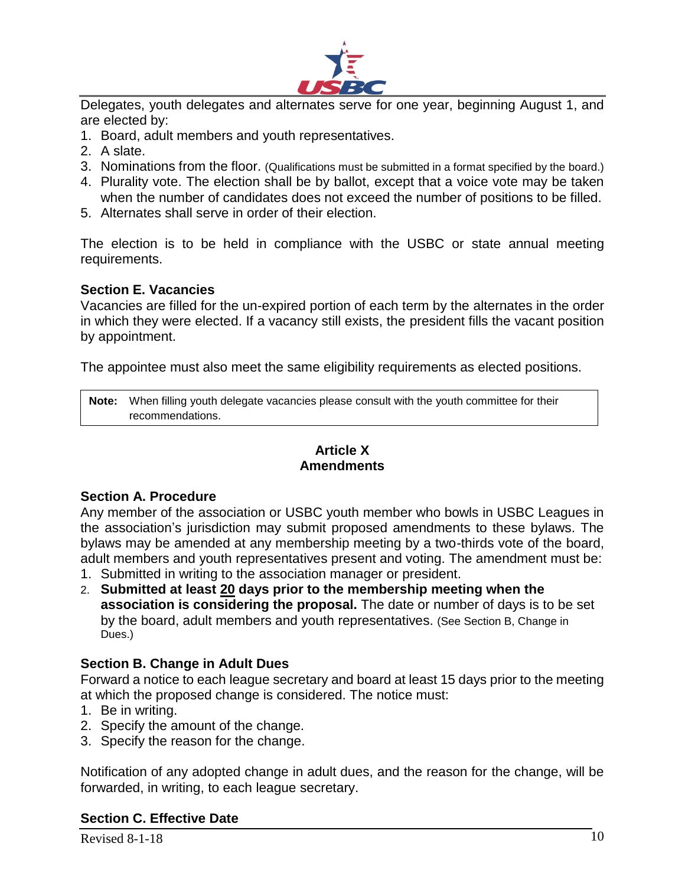

Delegates, youth delegates and alternates serve for one year, beginning August 1, and are elected by:

- 1. Board, adult members and youth representatives.
- 2. A slate.
- 3. Nominations from the floor. (Qualifications must be submitted in a format specified by the board.)
- 4. Plurality vote. The election shall be by ballot, except that a voice vote may be taken when the number of candidates does not exceed the number of positions to be filled.
- 5. Alternates shall serve in order of their election.

The election is to be held in compliance with the USBC or state annual meeting requirements.

#### **Section E. Vacancies**

Vacancies are filled for the un-expired portion of each term by the alternates in the order in which they were elected. If a vacancy still exists, the president fills the vacant position by appointment.

The appointee must also meet the same eligibility requirements as elected positions.

**Note:** When filling youth delegate vacancies please consult with the youth committee for their recommendations.

# **Article X Amendments**

#### **Section A. Procedure**

Any member of the association or USBC youth member who bowls in USBC Leagues in the association's jurisdiction may submit proposed amendments to these bylaws. The bylaws may be amended at any membership meeting by a two-thirds vote of the board, adult members and youth representatives present and voting. The amendment must be:

- 1. Submitted in writing to the association manager or president.
- 2. **Submitted at least 20 days prior to the membership meeting when the association is considering the proposal.** The date or number of days is to be set by the board, adult members and youth representatives. (See Section B, Change in Dues.)

#### **Section B. Change in Adult Dues**

Forward a notice to each league secretary and board at least 15 days prior to the meeting at which the proposed change is considered. The notice must:

- 1. Be in writing.
- 2. Specify the amount of the change.
- 3. Specify the reason for the change.

Notification of any adopted change in adult dues, and the reason for the change, will be forwarded, in writing, to each league secretary.

### **Section C. Effective Date**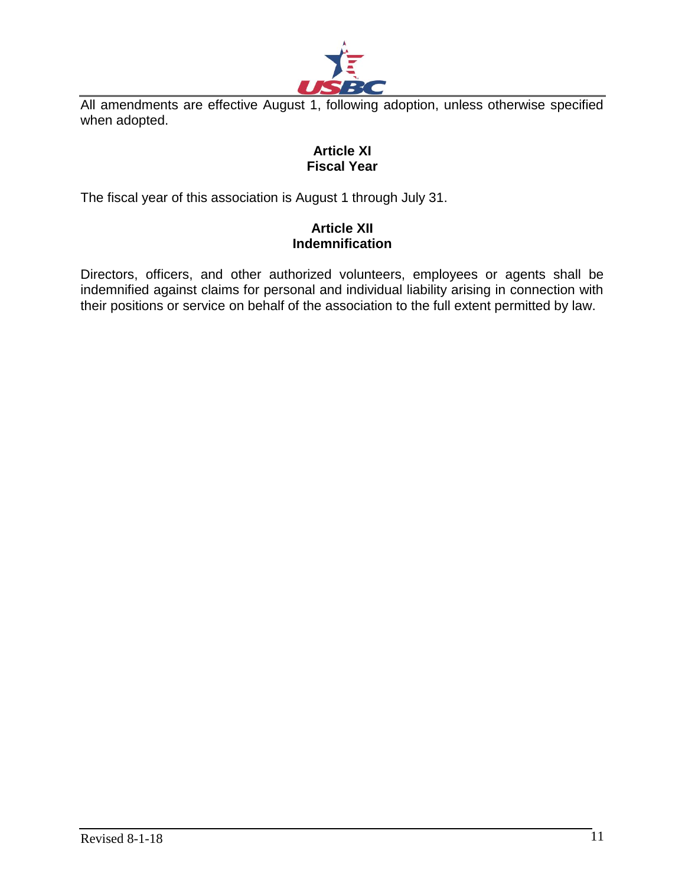

All amendments are effective August 1, following adoption, unless otherwise specified when adopted.

### **Article XI Fiscal Year**

The fiscal year of this association is August 1 through July 31.

# **Article XII Indemnification**

Directors, officers, and other authorized volunteers, employees or agents shall be indemnified against claims for personal and individual liability arising in connection with their positions or service on behalf of the association to the full extent permitted by law.